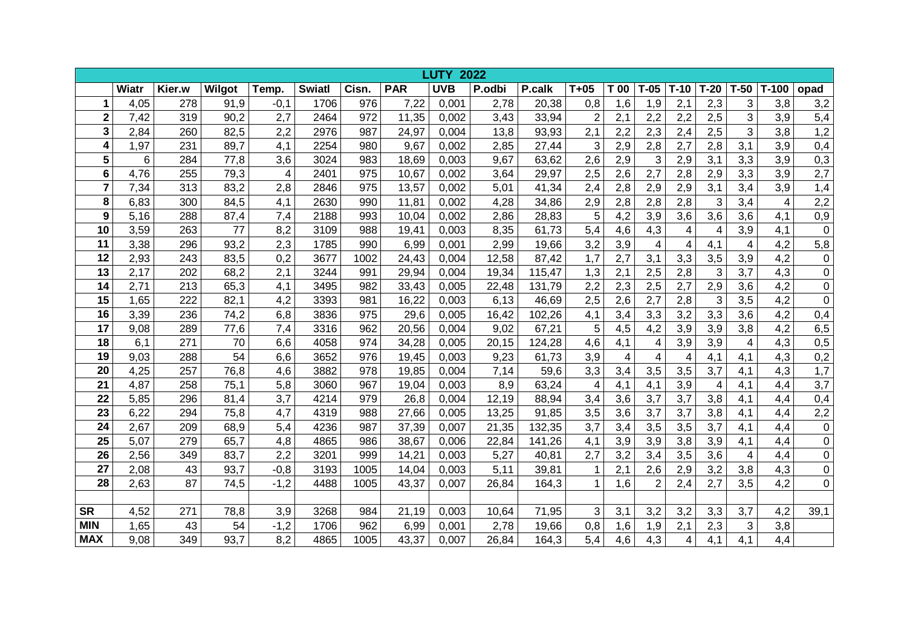|                         | 2022<br><b>LUTY</b> |        |        |                |               |       |            |            |        |        |                         |      |                         |                |                |                           |         |                  |
|-------------------------|---------------------|--------|--------|----------------|---------------|-------|------------|------------|--------|--------|-------------------------|------|-------------------------|----------------|----------------|---------------------------|---------|------------------|
|                         | Wiatr               | Kier.w | Wilgot | Temp.          | <b>Swiatl</b> | Cisn. | <b>PAR</b> | <b>UVB</b> | P.odbi | P.calk | $T+05$                  | T 00 | $T-05$                  | $T-10$         | $T-20$         | $T-50$                    | $T-100$ | opad             |
| 1                       | 4,05                | 278    | 91,9   | $-0,1$         | 1706          | 976   | 7,22       | 0,001      | 2,78   | 20,38  | 0,8                     | 1,6  | 1,9                     | 2,1            | 2,3            | 3                         | 3,8     | 3,2              |
| $\overline{\mathbf{2}}$ | 7,42                | 319    | 90,2   | 2,7            | 2464          | 972   | 11,35      | 0,002      | 3,43   | 33,94  | $\overline{2}$          | 2,1  | 2,2                     | 2,2            | 2,5            | 3                         | 3,9     | 5,4              |
| 3                       | 2,84                | 260    | 82,5   | 2,2            | 2976          | 987   | 24,97      | 0,004      | 13,8   | 93,93  | 2,1                     | 2,2  | 2,3                     | 2,4            | 2,5            | $\overline{3}$            | 3,8     | 1,2              |
| 4                       | 1,97                | 231    | 89,7   | 4,1            | 2254          | 980   | 9,67       | 0,002      | 2,85   | 27,44  | 3                       | 2,9  | 2,8                     | 2,7            | 2,8            | 3,1                       | 3,9     | 0,4              |
| 5                       | 6                   | 284    | 77,8   | 3,6            | 3024          | 983   | 18,69      | 0,003      | 9,67   | 63,62  | 2,6                     | 2,9  | 3                       | 2,9            | 3,1            | 3,3                       | 3,9     | 0,3              |
| $6\phantom{1}6$         | 4,76                | 255    | 79,3   | $\overline{4}$ | 2401          | 975   | 10,67      | 0,002      | 3,64   | 29,97  | 2,5                     | 2,6  | 2,7                     | 2,8            | 2,9            | 3,3                       | 3,9     | 2,7              |
| $\overline{7}$          | 7,34                | 313    | 83,2   | 2,8            | 2846          | 975   | 13,57      | 0,002      | 5,01   | 41,34  | 2,4                     | 2,8  | 2,9                     | 2,9            | 3,1            | 3,4                       | 3,9     | 1,4              |
| 8                       | 6,83                | 300    | 84,5   | 4,1            | 2630          | 990   | 11,81      | 0,002      | 4,28   | 34,86  | 2,9                     | 2,8  | 2,8                     | 2,8            | $\mathbf{3}$   | 3,4                       | 4       | 2,2              |
| 9                       | 5,16                | 288    | 87,4   | 7,4            | 2188          | 993   | 10,04      | 0,002      | 2,86   | 28,83  | 5                       | 4,2  | 3,9                     | 3,6            | 3,6            | 3,6                       | 4,1     | 0,9              |
| 10                      | 3,59                | 263    | 77     | 8,2            | 3109          | 988   | 19,41      | 0,003      | 8,35   | 61,73  | 5,4                     | 4,6  | 4,3                     | 4              | 4              | 3,9                       | 4,1     | $\mathbf 0$      |
| 11                      | 3,38                | 296    | 93,2   | 2,3            | 1785          | 990   | 6,99       | 0,001      | 2,99   | 19,66  | 3,2                     | 3,9  | $\overline{4}$          | $\overline{4}$ | 4,1            | $\overline{\mathbf{4}}$   | 4,2     | 5,8              |
| 12                      | 2,93                | 243    | 83,5   | 0,2            | 3677          | 1002  | 24,43      | 0,004      | 12,58  | 87,42  | 1,7                     | 2,7  | 3,1                     | 3,3            | 3,5            | 3,9                       | 4,2     | $\pmb{0}$        |
| 13                      | 2,17                | 202    | 68,2   | 2,1            | 3244          | 991   | 29,94      | 0,004      | 19,34  | 115,47 | 1,3                     | 2,1  | 2,5                     | 2,8            | 3              | 3,7                       | 4,3     | $\mathbf 0$      |
| 14                      | 2,71                | 213    | 65,3   | 4,1            | 3495          | 982   | 33,43      | 0,005      | 22,48  | 131,79 | 2,2                     | 2,3  | 2,5                     | 2,7            | 2,9            | 3,6                       | 4,2     | $\pmb{0}$        |
| 15                      | 1,65                | 222    | 82,1   | 4,2            | 3393          | 981   | 16,22      | 0,003      | 6,13   | 46,69  | 2,5                     | 2,6  | 2,7                     | 2,8            | 3              | 3,5                       | 4,2     | $\pmb{0}$        |
| 16                      | 3,39                | 236    | 74,2   | 6,8            | 3836          | 975   | 29,6       | 0,005      | 16,42  | 102,26 | 4,1                     | 3,4  | 3,3                     | 3,2            | 3,3            | 3,6                       | 4,2     | 0,4              |
| 17                      | 9,08                | 289    | 77,6   | 7,4            | 3316          | 962   | 20,56      | 0,004      | 9,02   | 67,21  | 5                       | 4,5  | 4,2                     | 3,9            | 3,9            | 3,8                       | 4,2     | 6,5              |
| 18                      | 6,1                 | 271    | 70     | 6,6            | 4058          | 974   | 34,28      | 0,005      | 20,15  | 124,28 | 4,6                     | 4,1  | $\overline{\mathbf{4}}$ | 3,9            | 3,9            | 4                         | 4,3     | 0,5              |
| 19                      | 9,03                | 288    | 54     | 6,6            | 3652          | 976   | 19,45      | 0,003      | 9,23   | 61,73  | 3,9                     | 4    | 4                       | 4              | 4,1            | 4,1                       | 4,3     | 0,2              |
| 20                      | 4,25                | 257    | 76,8   | 4,6            | 3882          | 978   | 19,85      | 0,004      | 7,14   | 59,6   | 3,3                     | 3,4  | 3,5                     | 3,5            | 3,7            | 4,1                       | 4,3     | 1,7              |
| 21                      | 4,87                | 258    | 75,1   | 5,8            | 3060          | 967   | 19,04      | 0,003      | 8,9    | 63,24  | $\overline{\mathbf{4}}$ | 4,1  | 4,1                     | 3,9            | $\overline{4}$ | 4,1                       | 4,4     | $\overline{3,7}$ |
| 22                      | 5,85                | 296    | 81,4   | 3,7            | 4214          | 979   | 26,8       | 0,004      | 12,19  | 88,94  | 3,4                     | 3,6  | 3,7                     | 3,7            | 3,8            | 4,1                       | 4,4     | 0,4              |
| 23                      | 6,22                | 294    | 75,8   | 4,7            | 4319          | 988   | 27,66      | 0,005      | 13,25  | 91,85  | 3,5                     | 3,6  | 3,7                     | 3,7            | 3,8            | 4,1                       | 4,4     | 2,2              |
| 24                      | 2,67                | 209    | 68,9   | 5,4            | 4236          | 987   | 37,39      | 0,007      | 21,35  | 132,35 | 3,7                     | 3,4  | 3,5                     | 3,5            | 3,7            | 4,1                       | 4,4     | $\pmb{0}$        |
| 25                      | 5,07                | 279    | 65,7   | 4,8            | 4865          | 986   | 38,67      | 0,006      | 22,84  | 141,26 | 4,1                     | 3,9  | 3,9                     | 3,8            | 3,9            | 4,1                       | 4,4     | $\pmb{0}$        |
| 26                      | 2,56                | 349    | 83,7   | 2,2            | 3201          | 999   | 14,21      | 0,003      | 5,27   | 40,81  | 2,7                     | 3,2  | 3,4                     | 3,5            | 3,6            | $\overline{4}$            | 4,4     | $\pmb{0}$        |
| 27                      | 2,08                | 43     | 93,7   | $-0,8$         | 3193          | 1005  | 14,04      | 0,003      | 5,11   | 39,81  | $\mathbf{1}$            | 2,1  | 2,6                     | 2,9            | 3,2            | 3,8                       | 4,3     | $\pmb{0}$        |
| 28                      | 2,63                | 87     | 74,5   | $-1,2$         | 4488          | 1005  | 43,37      | 0,007      | 26,84  | 164,3  | $\mathbf{1}$            | 1,6  | $\overline{2}$          | 2,4            | 2,7            | 3,5                       | 4,2     | $\mathbf 0$      |
|                         |                     |        |        |                |               |       |            |            |        |        |                         |      |                         |                |                |                           |         |                  |
| <b>SR</b>               | 4,52                | 271    | 78,8   | 3,9            | 3268          | 984   | 21,19      | 0,003      | 10,64  | 71,95  | 3                       | 3,1  | 3,2                     | 3,2            | 3,3            | 3,7                       | 4,2     | 39,1             |
| <b>MIN</b>              | 1,65                | 43     | 54     | $-1,2$         | 1706          | 962   | 6,99       | 0,001      | 2,78   | 19,66  | 0,8                     | 1,6  | 1,9                     | 2,1            | 2,3            | $\ensuremath{\mathsf{3}}$ | 3,8     |                  |
| <b>MAX</b>              | 9,08                | 349    | 93,7   | 8,2            | 4865          | 1005  | 43,37      | 0,007      | 26,84  | 164,3  | 5,4                     | 4,6  | 4,3                     | 4              | 4,1            | 4,1                       | 4,4     |                  |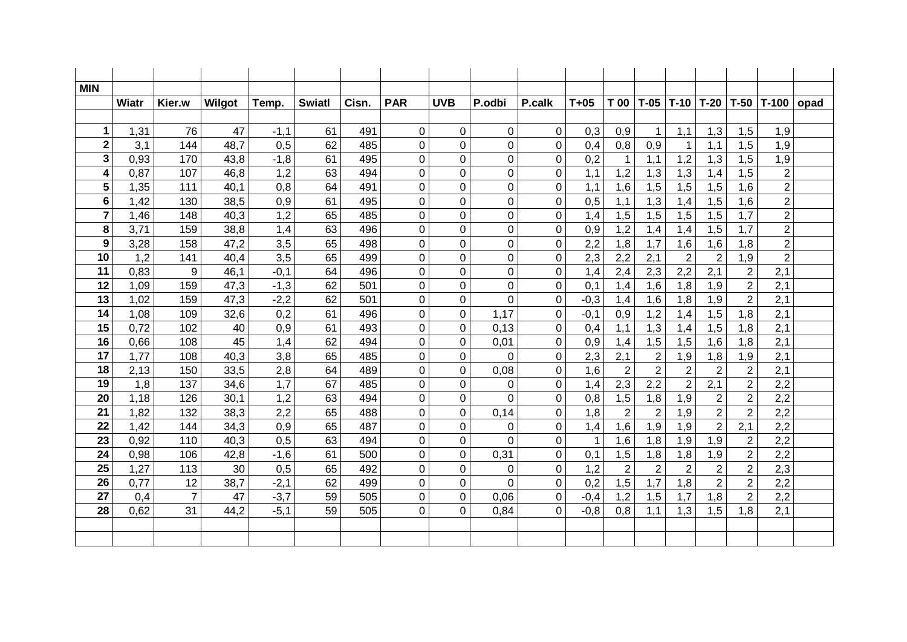| <b>MIN</b>     |              |                |        |        |               |       |                |                |                |                |        |                |                |                |                |                  |                |      |
|----------------|--------------|----------------|--------|--------|---------------|-------|----------------|----------------|----------------|----------------|--------|----------------|----------------|----------------|----------------|------------------|----------------|------|
|                | <b>Wiatr</b> | Kier.w         | Wilgot | Temp.  | <b>Swiatl</b> | Cisn. | <b>PAR</b>     | <b>UVB</b>     | P.odbi         | P.calk         | $T+05$ | T 00           | $T-05$         | $T-10$         | $T-20$         | $T-50$           | $T-100$        | opad |
|                |              |                |        |        |               |       |                |                |                |                |        |                |                |                |                |                  |                |      |
| $\mathbf 1$    | 1,31         | 76             | 47     | $-1,1$ | 61            | 491   | $\mathbf 0$    | $\mathbf 0$    | $\mathbf 0$    | 0              | 0,3    | 0,9            | $\mathbf{1}$   | 1,1            | 1,3            | 1,5              | 1,9            |      |
| $\mathbf 2$    | 3,1          | 144            | 48,7   | 0,5    | 62            | 485   | 0              | $\overline{0}$ | 0              | $\overline{0}$ | 0,4    | 0,8            | 0,9            | 1              | 1,1            | 1,5              | 1,9            |      |
| 3              | 0,93         | 170            | 43,8   | $-1,8$ | 61            | 495   | 0              | 0              | 0              | 0              | 0,2    | $\mathbf{1}$   | 1,1            | 1,2            | 1,3            | 1,5              | 1,9            |      |
| 4              | 0,87         | 107            | 46,8   | 1,2    | 63            | 494   | $\overline{0}$ | $\overline{0}$ | 0              | $\overline{0}$ | 1,1    | 1,2            | 1,3            | 1,3            | 1,4            | 1,5              | $\overline{2}$ |      |
| 5              | 1,35         | 111            | 40,1   | 0,8    | 64            | 491   | 0              | 0              | 0              | $\mathbf 0$    | 1,1    | 1,6            | 1,5            | 1,5            | 1,5            | 1,6              | $\overline{2}$ |      |
| 6              | 1,42         | 130            | 38,5   | 0,9    | 61            | 495   | 0              | 0              | $\overline{0}$ | $\overline{0}$ | 0,5    | 1,1            | 1,3            | 1,4            | 1,5            | 1,6              | $\overline{c}$ |      |
| $\overline{7}$ | 1,46         | 148            | 40,3   | 1,2    | 65            | 485   | 0              | 0              | 0              | 0              | 1,4    | 1,5            | 1,5            | 1,5            | 1,5            | 1,7              | $\overline{2}$ |      |
| 8              | 3,71         | 159            | 38,8   | 1,4    | 63            | 496   | 0              | $\overline{0}$ | 0              | $\mathbf 0$    | 0,9    | 1,2            | 1,4            | 1,4            | 1,5            | 1,7              | $\overline{2}$ |      |
| 9              | 3,28         | 158            | 47,2   | 3,5    | 65            | 498   | 0              | 0              | 0              | 0              | 2,2    | 1,8            | 1,7            | 1,6            | 1,6            | 1,8              | $\overline{c}$ |      |
| 10             | 1,2          | 141            | 40,4   | 3,5    | 65            | 499   | 0              | 0              | 0              | $\mathbf 0$    | 2,3    | 2,2            | 2,1            | $\overline{2}$ | $\overline{2}$ | 1,9              | $\overline{2}$ |      |
| 11             | 0,83         | 9              | 46,1   | $-0,1$ | 64            | 496   | 0              | 0              | 0              | 0              | 1,4    | 2,4            | 2,3            | 2,2            | 2,1            | $\boldsymbol{2}$ | 2,1            |      |
| 12             | 1,09         | 159            | 47,3   | $-1,3$ | 62            | 501   | 0              | 0              | 0              | $\overline{0}$ | 0,1    | 1,4            | 1,6            | 1,8            | 1,9            | $\overline{2}$   | 2,1            |      |
| 13             | 1,02         | 159            | 47,3   | $-2,2$ | 62            | 501   | 0              | 0              | $\overline{0}$ | 0              | $-0,3$ | 1,4            | 1,6            | 1,8            | 1,9            | $\overline{2}$   | 2,1            |      |
| 14             | 1,08         | 109            | 32,6   | 0,2    | 61            | 496   | 0              | 0              | 1,17           | $\mathbf 0$    | $-0,1$ | 0,9            | 1,2            | 1,4            | 1,5            | 1,8              | 2,1            |      |
| 15             | 0,72         | 102            | 40     | 0,9    | 61            | 493   | 0              | 0              | 0,13           | 0              | 0,4    | 1,1            | 1,3            | 1,4            | 1,5            | 1,8              | 2,1            |      |
| 16             | 0,66         | 108            | 45     | 1,4    | 62            | 494   | 0              | 0              | 0,01           | 0              | 0,9    | 1,4            | 1,5            | 1,5            | 1,6            | 1,8              | 2,1            |      |
| 17             | 1,77         | 108            | 40,3   | 3,8    | 65            | 485   | 0              | 0              | 0              | 0              | 2,3    | 2,1            | $\sqrt{2}$     | 1,9            | 1,8            | 1,9              | 2,1            |      |
| 18             | 2,13         | 150            | 33,5   | 2,8    | 64            | 489   | $\overline{0}$ | $\overline{0}$ | 0,08           | $\overline{0}$ | 1,6    | $\overline{2}$ | $\overline{2}$ | $\overline{2}$ | $\overline{2}$ | $\overline{2}$   | 2,1            |      |
| 19             | 1,8          | 137            | 34,6   | 1,7    | 67            | 485   | 0              | 0              | $\mathbf 0$    | $\mathbf 0$    | 1,4    | 2,3            | 2,2            | $\overline{2}$ | 2,1            | $\overline{2}$   | 2,2            |      |
| 20             | 1,18         | 126            | 30,1   | 1,2    | 63            | 494   | 0              | 0              | $\Omega$       | $\mathbf 0$    | 0,8    | 1,5            | 1,8            | 1,9            | $\overline{2}$ | $\overline{2}$   | 2,2            |      |
| 21             | 1,82         | 132            | 38,3   | 2,2    | 65            | 488   | 0              | 0              | 0,14           | 0              | 1,8    | $\overline{2}$ | $\overline{2}$ | 1,9            | $\overline{2}$ | $\overline{2}$   | 2,2            |      |
| 22             | 1,42         | 144            | 34,3   | 0,9    | 65            | 487   | 0              | 0              | $\mathbf 0$    | $\mathbf 0$    | 1,4    | 1,6            | 1,9            | 1,9            | $\overline{2}$ | 2,1              | 2,2            |      |
| 23             | 0,92         | 110            | 40,3   | 0,5    | 63            | 494   | 0              | 0              | $\Omega$       | 0              | 1      | 1,6            | 1,8            | 1,9            | 1,9            | $\overline{2}$   | 2,2            |      |
| 24             | 0,98         | 106            | 42,8   | $-1,6$ | 61            | 500   | 0              | $\overline{0}$ | 0,31           | $\overline{0}$ | 0,1    | 1,5            | 1,8            | 1,8            | 1,9            | $\overline{2}$   | 2,2            |      |
| 25             | 1,27         | 113            | 30     | 0,5    | 65            | 492   | 0              | 0              | 0              | 0              | 1,2    | $\overline{2}$ | $\overline{2}$ | $\overline{2}$ | $\overline{2}$ | $\overline{2}$   | 2,3            |      |
| 26             | 0,77         | 12             | 38,7   | $-2,1$ | 62            | 499   | 0              | $\overline{0}$ | $\overline{0}$ | $\overline{0}$ | 0,2    | 1,5            | 1,7            | 1,8            | $\overline{2}$ | $\overline{2}$   | 2,2            |      |
| 27             | 0,4          | $\overline{7}$ | 47     | $-3,7$ | 59            | 505   | 0              | 0              | 0,06           | 0              | $-0,4$ | 1,2            | 1,5            | 1,7            | 1,8            | $\overline{2}$   | 2,2            |      |
| 28             | 0,62         | 31             | 44,2   | $-5,1$ | 59            | 505   | 0              | $\overline{0}$ | 0,84           | 0              | $-0,8$ | 0,8            | 1,1            | 1,3            | 1,5            | 1,8              | 2,1            |      |
|                |              |                |        |        |               |       |                |                |                |                |        |                |                |                |                |                  |                |      |
|                |              |                |        |        |               |       |                |                |                |                |        |                |                |                |                |                  |                |      |